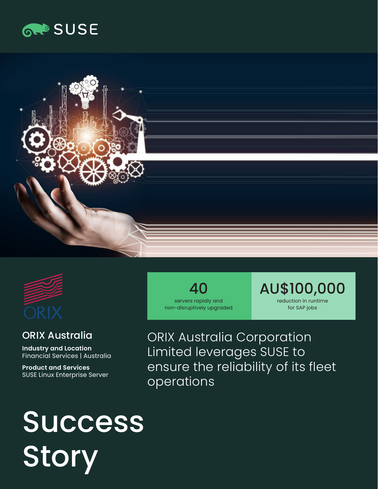





## ORIX Australia

**Industry and Location**  Financial Services | Australia

**Product and Services**  SUSE Linux Enterprise Server

40 servers rapidly and non-disruptively upgraded AU\$100,000 reduction in runtime for SAP jobs

ORIX Australia Corporation Limited leverages SUSE to ensure the reliability of its fleet operations

# Success Story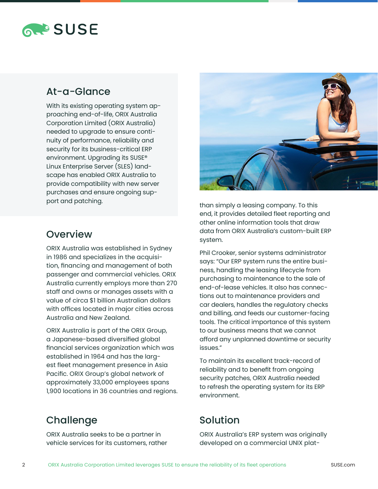

### At-a-Glance

With its existing operating system approaching end-of-life, ORIX Australia Corporation Limited (ORIX Australia) needed to upgrade to ensure continuity of performance, reliability and security for its business-critical ERP environment. Upgrading its SUSE® Linux Enterprise Server (SLES) landscape has enabled ORIX Australia to provide compatibility with new server purchases and ensure ongoing support and patching.



ORIX Australia was established in Sydney in 1986 and specializes in the acquisition, financing and management of both passenger and commercial vehicles. ORIX Australia currently employs more than 270 staff and owns or manages assets with a value of circa \$1 billion Australian dollars with offices located in major cities across Australia and New Zealand.

ORIX Australia is part of the ORIX Group, a Japanese-based diversified global financial services organization which was established in 1964 and has the largest fleet management presence in Asia Pacific. ORIX Group's global network of approximately 33,000 employees spans 1,900 locations in 36 countries and regions.

## Challenge

ORIX Australia seeks to be a partner in vehicle services for its customers, rather



than simply a leasing company. To this end, it provides detailed fleet reporting and other online information tools that draw data from ORIX Australia's custom-built ERP system.

Phil Crooker, senior systems administrator says: "Our ERP system runs the entire business, handling the leasing lifecycle from purchasing to maintenance to the sale of end-of-lease vehicles. It also has connections out to maintenance providers and car dealers, handles the regulatory checks and billing, and feeds our customer-facing tools. The critical importance of this system to our business means that we cannot afford any unplanned downtime or security issues."

To maintain its excellent track-record of reliability and to benefit from ongoing security patches, ORIX Australia needed to refresh the operating system for its ERP environment.

# Solution

ORIX Australia's ERP system was originally developed on a commercial UNIX plat-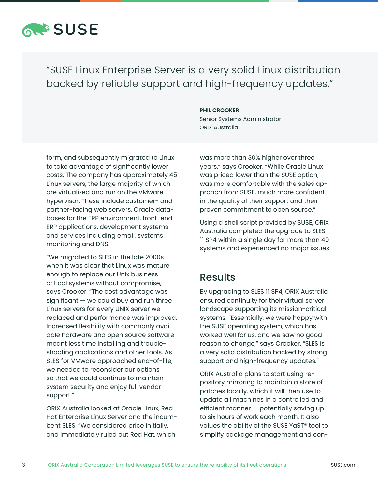

"SUSE Linux Enterprise Server is a very solid Linux distribution backed by reliable support and high-frequency updates."

#### **PHIL CROOKER**

Senior Systems Administrator ORIX Australia

form, and subsequently migrated to Linux to take advantage of significantly lower costs. The company has approximately 45 Linux servers, the large majority of which are virtualized and run on the VMware hypervisor. These include customer- and partner-facing web servers, Oracle databases for the ERP environment, front-end ERP applications, development systems and services including email, systems monitoring and DNS.

"We migrated to SLES in the late 2000s when it was clear that Linux was mature enough to replace our Unix businesscritical systems without compromise," says Crooker. "The cost advantage was  $significant - we could buy and run three$ Linux servers for every UNIX server we replaced and performance was improved. Increased flexibility with commonly available hardware and open source software meant less time installing and troubleshooting applications and other tools. As SLES for VMware approached end-of-life, we needed to reconsider our options so that we could continue to maintain system security and enjoy full vendor support."

ORIX Australia looked at Oracle Linux, Red Hat Enterprise Linux Server and the incumbent SLES. "We considered price initially, and immediately ruled out Red Hat, which

was more than 30% higher over three years," says Crooker. "While Oracle Linux was priced lower than the SUSE option, I was more comfortable with the sales approach from SUSE, much more confident in the quality of their support and their proven commitment to open source."

Using a shell script provided by SUSE, ORIX Australia completed the upgrade to SLES 11 SP4 within a single day for more than 40 systems and experienced no major issues.

#### Results

By upgrading to SLES 11 SP4, ORIX Australia ensured continuity for their virtual server landscape supporting its mission-critical systems. "Essentially, we were happy with the SUSE operating system, which has worked well for us, and we saw no good reason to change," says Crooker. "SLES is a very solid distribution backed by strong support and high-frequency updates."

ORIX Australia plans to start using repository mirroring to maintain a store of patches locally, which it will then use to update all machines in a controlled and efficient manner — potentially saving up to six hours of work each month. It also values the ability of the SUSE YaST® tool to simplify package management and con-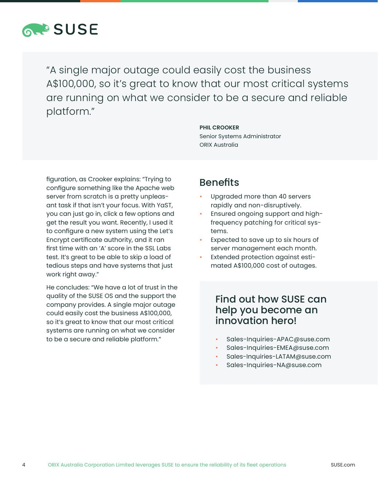

"A single major outage could easily cost the business A\$100,000, so it's great to know that our most critical systems are running on what we consider to be a secure and reliable platform."

#### **PHIL CROOKER**

Senior Systems Administrator ORIX Australia

figuration, as Crooker explains: "Trying to configure something like the Apache web server from scratch is a pretty unpleasant task if that isn't your focus. With YaST, you can just go in, click a few options and get the result you want. Recently, I used it to configure a new system using the Let's Encrypt certificate authority, and it ran first time with an 'A' score in the SSL Labs test. It's great to be able to skip a load of tedious steps and have systems that just work right away."

He concludes: "We have a lot of trust in the quality of the SUSE OS and the support the company provides. A single major outage could easily cost the business A\$100,000, so it's great to know that our most critical systems are running on what we consider to be a secure and reliable platform."

#### **Benefits**

- Upgraded more than 40 servers rapidly and non-disruptively.
- Ensured ongoing support and highfrequency patching for critical systems.
- Expected to save up to six hours of server management each month.
- Extended protection against estimated A\$100,000 cost of outages.

### Find out how SUSE can help you become an innovation hero!

- Sales-Inquiries-APAC@suse.com
- Sales-Inquiries-EMEA@suse.com
- Sales-Inquiries-LATAM@suse.com
- Sales-Inquiries-NA@suse.com